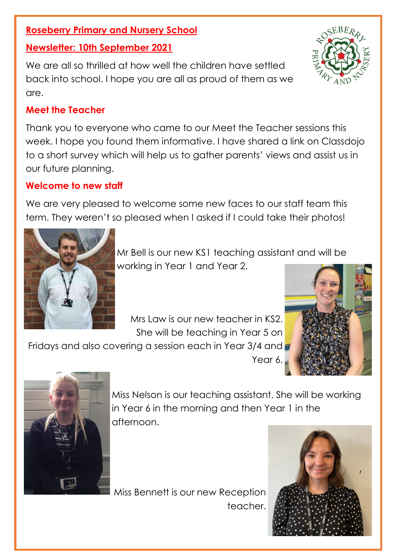# **Roseberry Primary and Nursery School**

#### **Newsletter: 10th September 2021**

We are all so thrilled at how well the children have settled back into school. I hope you are all as proud of them as we are.

## **Meet the Teacher**

Thank you to everyone who came to our Meet the Teacher sessions this week. I hope you found them informative. I have shared a link on Classdojo to a short survey which will help us to gather parents' views and assist us in our future planning.

# **Welcome to new staff**

We are very pleased to welcome some new faces to our staff team this term. They weren't so pleased when I asked if I could take their photos!



Mr Bell is our new KS1 teaching assistant and will be working in Year 1 and Year 2.

Mrs Law is our new teacher in KS2. She will be teaching in Year 5 on

Fridays and also covering a session each in Year 3/4 and Year 6.





Miss Nelson is our teaching assistant. She will be working in Year 6 in the morning and then Year 1 in the afternoon.

Miss Bennett is our new Reception teacher.



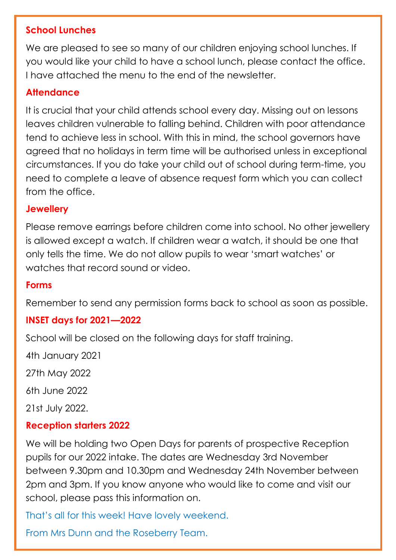## **School Lunches**

We are pleased to see so many of our children enjoying school lunches. If you would like your child to have a school lunch, please contact the office. I have attached the menu to the end of the newsletter.

# **Attendance**

It is crucial that your child attends school every day. Missing out on lessons leaves children vulnerable to falling behind. Children with poor attendance tend to achieve less in school. With this in mind, the school governors have agreed that no holidays in term time will be authorised unless in exceptional circumstances. If you do take your child out of school during term-time, you need to complete a leave of absence request form which you can collect from the office.

#### **Jewellery**

Please remove earrings before children come into school. No other jewellery is allowed except a watch. If children wear a watch, it should be one that only tells the time. We do not allow pupils to wear 'smart watches' or watches that record sound or video.

#### **Forms**

Remember to send any permission forms back to school as soon as possible.

## **INSET days for 2021—2022**

School will be closed on the following days for staff training.

4th January 2021 27th May 2022 6th June 2022

21st July 2022.

## **Reception starters 2022**

We will be holding two Open Days for parents of prospective Reception pupils for our 2022 intake. The dates are Wednesday 3rd November between 9.30pm and 10.30pm and Wednesday 24th November between 2pm and 3pm. If you know anyone who would like to come and visit our school, please pass this information on.

That's all for this week! Have lovely weekend.

From Mrs Dunn and the Roseberry Team.